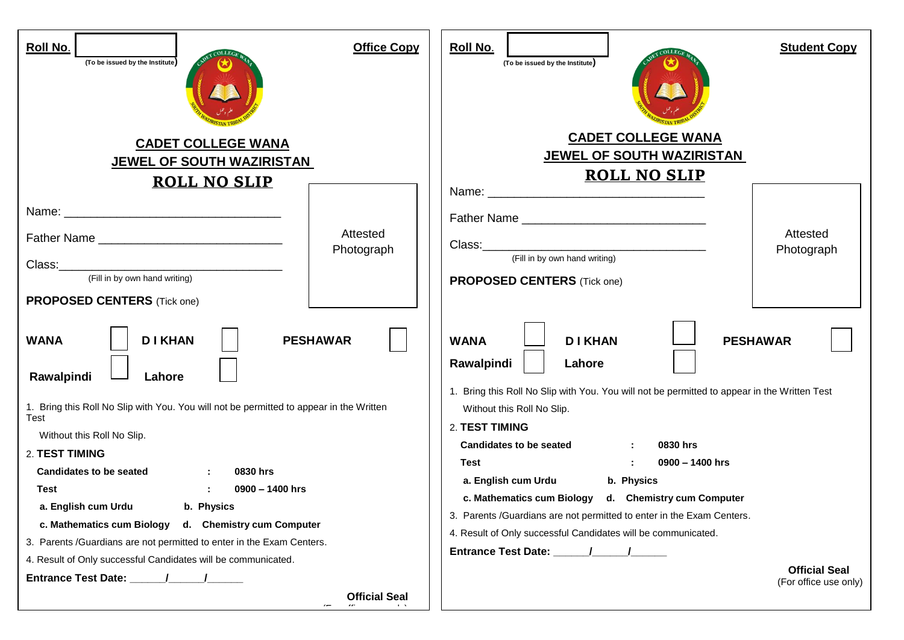| Roll No.<br>(To be issued by the Institute)                                                                                                                                                                                                                                                                                                                                                                                                                                                                                                                                                                                    | <b>Office Copy</b>     | Roll No.<br><b>Student Copy</b><br>(To be issued by the Institute)                                                                                                                                                                                                                                                                                                                                                                                                                                                                                                                                                                                                                 |
|--------------------------------------------------------------------------------------------------------------------------------------------------------------------------------------------------------------------------------------------------------------------------------------------------------------------------------------------------------------------------------------------------------------------------------------------------------------------------------------------------------------------------------------------------------------------------------------------------------------------------------|------------------------|------------------------------------------------------------------------------------------------------------------------------------------------------------------------------------------------------------------------------------------------------------------------------------------------------------------------------------------------------------------------------------------------------------------------------------------------------------------------------------------------------------------------------------------------------------------------------------------------------------------------------------------------------------------------------------|
| <b>CADET COLLEGE WANA</b><br>JEWEL OF SOUTH WAZIRISTAN<br><b>ROLL NO SLIP</b>                                                                                                                                                                                                                                                                                                                                                                                                                                                                                                                                                  |                        | <b>CADET COLLEGE WANA</b><br>JEWEL OF SOUTH WAZIRISTAN<br><b>ROLL NO SLIP</b>                                                                                                                                                                                                                                                                                                                                                                                                                                                                                                                                                                                                      |
| Father Name<br>(Fill in by own hand writing)<br><b>PROPOSED CENTERS</b> (Tick one)<br><b>DI KHAN</b><br><b>PESHAWAR</b><br><b>WANA</b><br>Rawalpindi<br>Lahore<br>1. Bring this Roll No Slip with You. You will not be permitted to appear in the Written<br>Test<br>Without this Roll No Slip.<br>2. TEST TIMING<br><b>Candidates to be seated</b><br>0830 hrs<br>0900 - 1400 hrs<br>Test<br>a. English cum Urdu b. Physics<br>c. Mathematics cum Biology d. Chemistry cum Computer<br>3. Parents /Guardians are not permitted to enter in the Exam Centers.<br>4. Result of Only successful Candidates will be communicated. | Attested<br>Photograph | Father Name<br>Attested<br>Photograph<br>(Fill in by own hand writing)<br><b>PROPOSED CENTERS</b> (Tick one)<br><b>DIKHAN</b><br><b>WANA</b><br><b>PESHAWAR</b><br>Rawalpindi<br>Lahore<br>1. Bring this Roll No Slip with You. You will not be permitted to appear in the Written Test<br>Without this Roll No Slip.<br>2. TEST TIMING<br><b>Candidates to be seated</b><br>0830 hrs<br>0900 - 1400 hrs<br>Test<br>a. English cum Urdu<br>b. Physics<br>c. Mathematics cum Biology<br>d. Chemistry cum Computer<br>3. Parents /Guardians are not permitted to enter in the Exam Centers.<br>4. Result of Only successful Candidates will be communicated.<br><b>Official Seal</b> |
|                                                                                                                                                                                                                                                                                                                                                                                                                                                                                                                                                                                                                                | <b>Official Seal</b>   | (For office use only)                                                                                                                                                                                                                                                                                                                                                                                                                                                                                                                                                                                                                                                              |